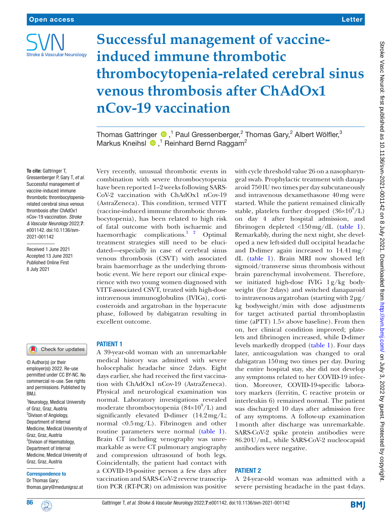

# **Successful management of vaccineinduced immune thrombotic thrombocytopenia-related cerebral sinus venous thrombosis after ChAdOx1 nCov-19 vaccination**

Thomas Gattringer  $\bigcirc$  ,<sup>1</sup> Paul Gressenberger,<sup>2</sup> Thomas Gary,<sup>2</sup> Albert Wölfler,<sup>3</sup> MarkusKneihsl  $\bigcirc$ ,<sup>1</sup> Reinhard Bernd Raggam<sup>2</sup>

### To cite: Gattringer T,

Gressenberger P, Gary T, *et al*. Successful management of vaccine-induced immune thrombotic thrombocytopeniarelated cerebral sinus venous thrombosis after ChAdOx1 nCov-19 vaccination. *Stroke & Vascular Neurology* 2022;7: e001142. doi:10.1136/svn-2021-001142

Received 1 June 2021 Accepted 13 June 2021 Published Online First 8 July 2021

# Check for updates

© Author(s) (or their employer(s)) 2022. Re-use permitted under CC BY-NC. No commercial re-use. See rights and permissions. Published by BMJ.

<sup>1</sup>Neurology, Medical University of Graz, Graz, Austria <sup>2</sup>Divison of Angiology, Department of Internal Medicine, Medical University of Graz, Graz, Austria <sup>3</sup>Divison of Haematology, Department of Internal Medicine, Medical University of Graz, Graz, Austria

#### Correspondence to

Dr Thomas Gary; thomas.gary@medunigraz.at

Very recently, unusual thrombotic events in combination with severe thrombocytopenia have been reported 1–2weeks following SARS-CoV-2 vaccination with ChAdOx1 nCov-19 (AstraZeneca). This condition, termed VITT (vaccine-induced immune thrombotic thrombocytopenia), has been related to high risk of fatal outcome with both ischaemic and haemorrhagic complications. $1^2$  Optimal treatment strategies still need to be elucidated—especially in case of cerebral sinus venous thrombosis (CSVT) with associated brain haemorrhage as the underlying thrombotic event. We here report our clinical experience with two young women diagnosed with VITT-associated CSVT, treated with high-dose intravenous immunoglobulins (IVIGs), corticosteroids and argatroban in the hyperacute phase, followed by dabigatran resulting in excellent outcome.

# PATIENT 1

A 39-year-old woman with an unremarkable medical history was admitted with severe holocephalic headache since 2days. Eight days earlier, she had received the first vaccination with ChAdOx1 nCov-19 (AstraZeneca). Physical and neurological examination was normal. Laboratory investigations revealed moderate thrombocytopenia  $(84\times10^9/L)$  and significantly elevated D-dimer (14.2mg/L; normal  $\langle 0.5 \text{ mg/L} \rangle$ . Fibrinogen and other routine parameters were normal ([table](#page-1-0) 1). Brain CT including venography was unremarkable as were CT pulmonary angiography and compression ultrasound of both legs. Coincidentally, the patient had contact with a COVID-19-positive person a few days after vaccination and SARS-CoV-2 reverse transcription PCR (RT-PCR) on admission was positive

with cycle threshold value 26 on a nasopharyngeal swab. Prophylactic treatment with danaparoid 750IU two times per day subcutaneously and intravenous dexamethasone 40mg were started. While the patient remained clinically stable, platelets further dropped  $(36\times10^9/L)$ on day 4 after hospital admission, and fibrinogen depleted <150mg/dL ([table](#page-1-0) 1). Remarkably, during the next night, she developed a new left-sided dull occipital headache and D-dimer again increased to 14.41mg/ dL [\(table](#page-1-0) 1). Brain MRI now showed left sigmoid/transverse sinus thrombosis without brain parenchymal involvement. Therefore, we initiated high-dose IVIG 1g/kg bodyweight (for 2days) and switched danaparoid to intravenous argatroban (starting with  $2\mu$ g/ kg bodyweight/min with dose adjustments for target activated partial thromboplastin time (aPTT) 1.5× above baseline). From then on, her clinical condition improved; platelets and fibrinogen increased, while D-dimer levels markedly dropped ([table](#page-1-0) 1). Four days later, anticoagulation was changed to oral dabigatran 150mg two times per day. During the entire hospital stay, she did not develop any symptoms related to her COVID-19 infection. Moreover, COVID-19-specific laboratory markers (ferritin, C reactive protein or interleukin 6) remained normal. The patient was discharged 10 days after admission free of any symptoms. A follow-up examination 1month after discharge was unremarkable. SARS-CoV-2 spike protein antibodies were 86.20U/mL, while SARS-CoV-2 nucleocapsid antibodies were negative.

# PATIENT 2

A 24-year-old woman was admitted with a severe persisting headache in the past 4days.

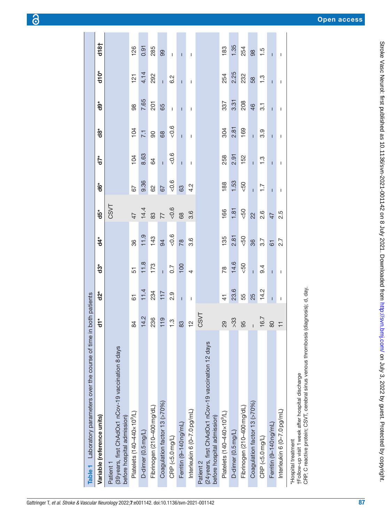| Table 1 Laboratory parameters over the course of time                                           | in both patients |                      |                  |                |                 |                       |                |                   |                  |                   |                |
|-------------------------------------------------------------------------------------------------|------------------|----------------------|------------------|----------------|-----------------|-----------------------|----------------|-------------------|------------------|-------------------|----------------|
| Variable (reference units)                                                                      | $\frac{1}{6}$    | $\mathbf{\dot{2}}^*$ | $\ddot{3}^*$     | $\ddot{4}$     | $\ddot{5}^*$    | $\ddot{\mathbf{6}}^*$ | $d7^*$         | $\ddot{\text{d}}$ | đe               | d <sub>10</sub> * | d18            |
| (39 years, first ChAdOx1 nCov-19 vaccination 8 days<br>before hospital admission)<br>Patient 1  |                  |                      |                  |                | CSVT            |                       |                |                   |                  |                   |                |
| Platelets (140-440×10 <sup>9</sup> /L)                                                          | $\approx$        | 5                    | 51               | 86             | 47              | 57                    | 104            | 104               | 86               | 121               | 126            |
| D-dimer (0.5mg/L)                                                                               | 14.2             | 11.4                 | 11.8             | 11.9           | 14.4            | 9.36                  | 8.63           | 11                | 7.65             | 4.14              | 0.91           |
| Fibrinogen (210-400 mg/dL)                                                                      | 236              | 234                  | 173              | 143            | 83              | 8                     | 84             | 90                | 201              | 292               | 285            |
| Coagulation factor 13 (>70%)                                                                    | 119              | 117                  | $\overline{1}$   | 94             | $\overline{7}$  | 67                    | $\overline{1}$ | 68                | 65               | $\overline{1}$    | 8              |
| CRP (<5.0mg/L)                                                                                  | $\frac{3}{1}$    | 2.9                  | $\overline{0.7}$ | $-0.6$         | $-0.6$          | $-0.6$                | $-0.6$         | 0.6               | $\overline{1}$   | 6.2               | $\overline{1}$ |
| Ferritin (9-140 ng/mL)                                                                          | 83               | $\overline{1}$       | 100              | $\frac{8}{18}$ | 89              | යි                    | $\overline{1}$ | $\overline{1}$    | $\overline{1}$   | $\overline{1}$    | $\mathbf{I}$   |
| Interleukin 6 (0-7.0pg/mL)                                                                      | $\frac{1}{2}$    | Ť                    | $\overline{a}$   | 3.6            | 3.6             | 4.2                   |                | Ť                 | I                | L                 | T              |
| (24 years, first ChAdOx1 nCov-19 vaccination 12 days<br>before hospital admission)<br>Patient 2 | CSVT             |                      |                  |                |                 |                       |                |                   |                  |                   |                |
| Platelets (140-440×10 <sup>9</sup> /L)                                                          | 29               | $\frac{4}{1}$        | $\overline{78}$  | 135            | 166             | 188                   | 258            | 304               | 337              | 254               | 183            |
| D-dimer (0.5 mg/L)                                                                              | $\frac{33}{2}$   | 23.6                 | 14.6             | 2.81           | 1.81            | 1.53                  | 2.91           | 2.81              | 3.31             | 2.25              | 1.35           |
| Fibrinogen (210-400 mg/dL)                                                                      | 95               | 55                   | 50 <sub>2</sub>  | $-50$          | 50 <sub>2</sub> | $-50$                 | 152            | 169               | 208              | 232               | 254            |
| Coagulation factor 13 (>70%)                                                                    | $\overline{1}$   | 25                   | $\mathbf{I}$     | 36             | $\overline{22}$ | $\overline{1}$        | $\overline{1}$ | Ī                 | $\frac{46}{5}$   | 58                | 88             |
| CRP (<5.0 mg/L)                                                                                 | 16.7             | 14.2                 | 9.4              | 3.7            | 2.6             | Ξ                     | $\frac{3}{1}$  | 3.9               | $\overline{3}$ . | $\frac{3}{1}$     | $\frac{5}{1}$  |
| Ferritin (9-140 ng/mL)                                                                          | $\rm 80$         | Ī                    | T                | $\overline{6}$ | 47              | $\overline{1}$        | ī              | Ī                 | ī                | $\overline{1}$    | ī              |
| Interleukin 6 (0-7.0 pg/mL)                                                                     | $\overline{+}$   | L                    | Ť                | 2.7            | 2.5             | T                     | T              | T                 | L                | Ť                 | T              |
| *Hoenital traatmant                                                                             |                  |                      |                  |                |                 |                       |                |                   |                  |                   |                |

<span id="page-1-0"></span>†Follow-up visit 1week after hospital discharge

†Follow-up visit 1 week after hospital discharge<br>CRP, C reactive protein; CSVT, cerebral sinus venous thrombosis (diagnosis); d, day. CRP, C reactive protein; CSVT, cerebral sinus venous thrombosis (diagnosis); d, day.